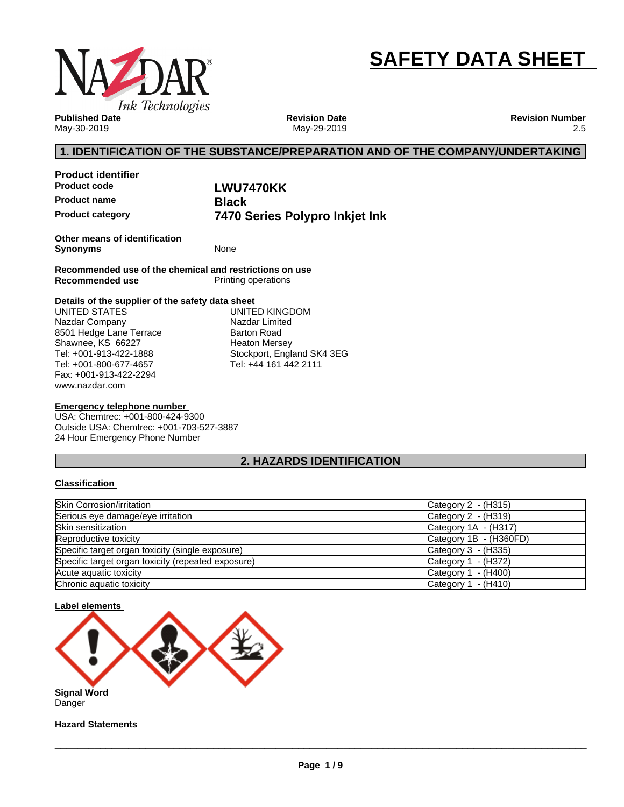

# **SAFETY DATA SHEET**

**Published Date** May-30-2019

**Revision Date** May-29-2019 **Revision Number** 2.5

# **1. IDENTIFICATION OF THE SUBSTANCE/PREPARATION AND OF THE COMPANY/UNDERTAKING**

| <b>Product identifier</b> |                                |  |
|---------------------------|--------------------------------|--|
| <b>Product code</b>       | LWU7470KK                      |  |
| <b>Product name</b>       | <b>Black</b>                   |  |
| <b>Product category</b>   | 7470 Series Polypro Inkjet Ink |  |

**Other means of identification Synonyms** None

**Recommended use of the chemical and restrictions on use Printing operations** 

#### **Details of the supplier of the safety data sheet**

www.nazdar.com UNITED STATES Nazdar Company 8501 Hedge Lane Terrace Shawnee, KS 66227 Tel: +001-913-422-1888 Tel: +001-800-677-4657 Fax: +001-913-422-2294

UNITED KINGDOM Nazdar Limited Barton Road Heaton Mersey Stockport, England SK4 3EG Tel: +44 161 442 2111

#### **Emergency telephone number**

USA: Chemtrec: +001-800-424-9300 Outside USA: Chemtrec: +001-703-527-3887 24 Hour Emergency Phone Number

# **2. HAZARDS IDENTIFICATION**

#### **Classification**

| Skin Corrosion/irritation                          | Category 2 - (H315)    |
|----------------------------------------------------|------------------------|
| Serious eye damage/eye irritation                  | Category 2 - (H319)    |
| <b>Skin sensitization</b>                          | Category 1A - (H317)   |
| Reproductive toxicity                              | Category 1B - (H360FD) |
| Specific target organ toxicity (single exposure)   | Category $3 - (H335)$  |
| Specific target organ toxicity (repeated exposure) | Category $1 - (H372)$  |
| Acute aguatic toxicity                             | Category 1<br>- (H400) |
| Chronic aquatic toxicity                           | - (H410)<br>Category 1 |



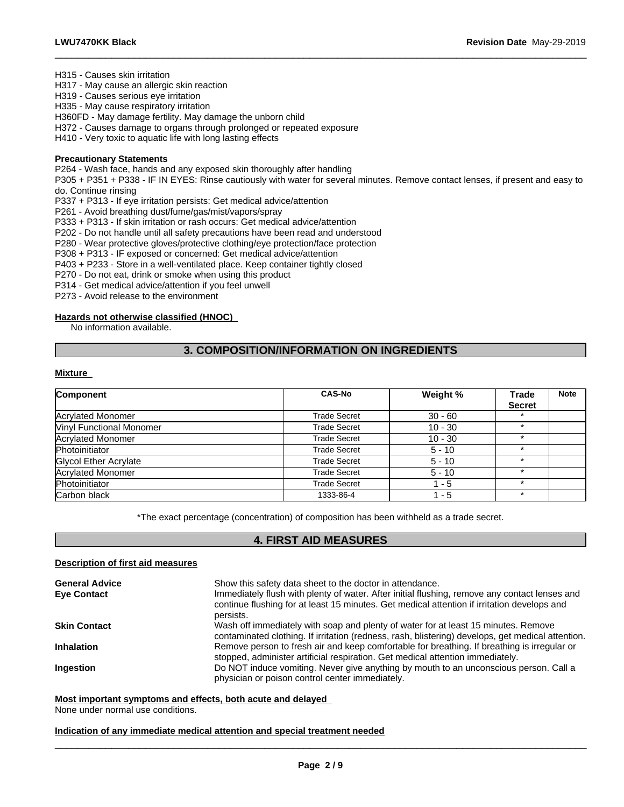H315 - Causes skin irritation

H317 - May cause an allergic skin reaction

H319 - Causes serious eye irritation

H335 - May cause respiratory irritation

H360FD - May damage fertility. May damage the unborn child

H372 - Causes damage to organs through prolonged or repeated exposure

H410 - Very toxic to aquatic life with long lasting effects

#### **Precautionary Statements**

P264 - Wash face, hands and any exposed skin thoroughly after handling

P305 + P351 + P338 - IF IN EYES: Rinse cautiously with water forseveral minutes. Remove contact lenses, if present and easy to do. Continue rinsing

 $\_$  ,  $\_$  ,  $\_$  ,  $\_$  ,  $\_$  ,  $\_$  ,  $\_$  ,  $\_$  ,  $\_$  ,  $\_$  ,  $\_$  ,  $\_$  ,  $\_$  ,  $\_$  ,  $\_$  ,  $\_$  ,  $\_$  ,  $\_$  ,  $\_$  ,  $\_$  ,  $\_$  ,  $\_$  ,  $\_$  ,  $\_$  ,  $\_$  ,  $\_$  ,  $\_$  ,  $\_$  ,  $\_$  ,  $\_$  ,  $\_$  ,  $\_$  ,  $\_$  ,  $\_$  ,  $\_$  ,  $\_$  ,  $\_$  ,

P337 + P313 - If eye irritation persists: Get medical advice/attention

P261 - Avoid breathing dust/fume/gas/mist/vapors/spray

P333 + P313 - If skin irritation or rash occurs: Get medical advice/attention

P202 - Do not handle until all safety precautions have been read and understood

P280 - Wear protective gloves/protective clothing/eye protection/face protection

P308 + P313 - IF exposed or concerned: Get medical advice/attention

P403 + P233 - Store in a well-ventilated place. Keep container tightly closed

P270 - Do not eat, drink or smoke when using this product

P314 - Get medical advice/attention if you feel unwell

P273 - Avoid release to the environment

#### **Hazards not otherwise classified (HNOC)**

No information available.

# **3. COMPOSITION/INFORMATION ON INGREDIENTS**

#### **Mixture**

| Component                       | <b>CAS-No</b> | Weight %  | Trade         | <b>Note</b> |
|---------------------------------|---------------|-----------|---------------|-------------|
|                                 |               |           | <b>Secret</b> |             |
| Acrylated Monomer               | Trade Secret  | $30 - 60$ |               |             |
| <b>Vinyl Functional Monomer</b> | Trade Secret  | $10 - 30$ |               |             |
| <b>Acrylated Monomer</b>        | Trade Secret  | $10 - 30$ |               |             |
| Photoinitiator                  | Trade Secret  | $5 - 10$  |               |             |
| Glycol Ether Acrylate           | Trade Secret  | $5 - 10$  | ÷             |             |
| <b>Acrylated Monomer</b>        | Trade Secret  | $5 - 10$  |               |             |
| Photoinitiator                  | Trade Secret  | $-5$      |               |             |
| Carbon black                    | 1333-86-4     | - 5       | ÷             |             |

\*The exact percentage (concentration) of composition has been withheld as a trade secret.

# **4. FIRST AID MEASURES**

#### **Description of first aid measures**

| <b>General Advice</b><br><b>Eye Contact</b> | Show this safety data sheet to the doctor in attendance.<br>Immediately flush with plenty of water. After initial flushing, remove any contact lenses and<br>continue flushing for at least 15 minutes. Get medical attention if irritation develops and<br>persists. |
|---------------------------------------------|-----------------------------------------------------------------------------------------------------------------------------------------------------------------------------------------------------------------------------------------------------------------------|
| <b>Skin Contact</b>                         | Wash off immediately with soap and plenty of water for at least 15 minutes. Remove<br>contaminated clothing. If irritation (redness, rash, blistering) develops, get medical attention.                                                                               |
| <b>Inhalation</b>                           | Remove person to fresh air and keep comfortable for breathing. If breathing is irregular or<br>stopped, administer artificial respiration. Get medical attention immediately.                                                                                         |
| Ingestion                                   | Do NOT induce vomiting. Never give anything by mouth to an unconscious person. Call a<br>physician or poison control center immediately.                                                                                                                              |

#### **Most important symptoms and effects, both acute and delayed**

None under normal use conditions.

#### **Indication of any immediate medical attention and special treatment needed**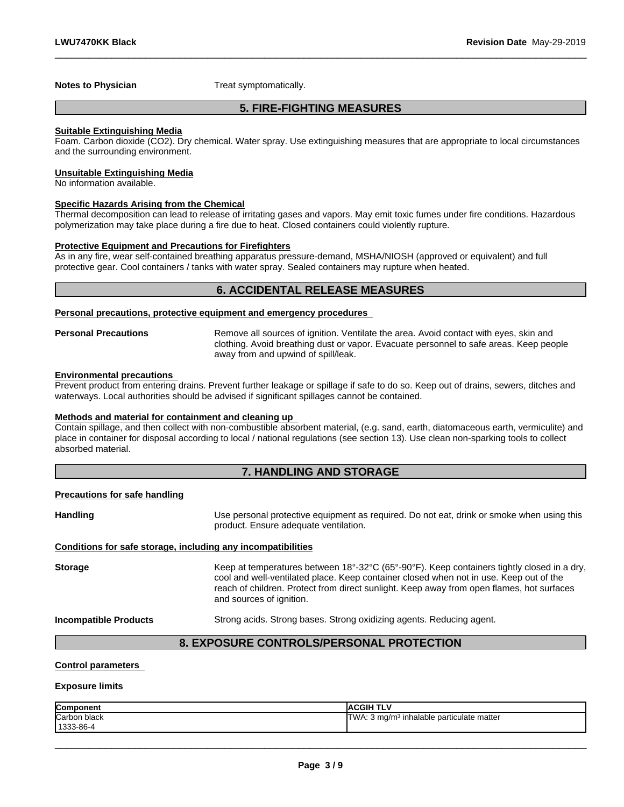**Notes to Physician** Treat symptomatically.

# **5. FIRE-FIGHTING MEASURES**

 $\_$  ,  $\_$  ,  $\_$  ,  $\_$  ,  $\_$  ,  $\_$  ,  $\_$  ,  $\_$  ,  $\_$  ,  $\_$  ,  $\_$  ,  $\_$  ,  $\_$  ,  $\_$  ,  $\_$  ,  $\_$  ,  $\_$  ,  $\_$  ,  $\_$  ,  $\_$  ,  $\_$  ,  $\_$  ,  $\_$  ,  $\_$  ,  $\_$  ,  $\_$  ,  $\_$  ,  $\_$  ,  $\_$  ,  $\_$  ,  $\_$  ,  $\_$  ,  $\_$  ,  $\_$  ,  $\_$  ,  $\_$  ,  $\_$  ,

#### **Suitable Extinguishing Media**

Foam. Carbon dioxide (CO2). Dry chemical. Water spray. Use extinguishing measures that are appropriate to local circumstances and the surrounding environment.

#### **Unsuitable Extinguishing Media**

No information available.

#### **Specific Hazards Arising from the Chemical**

Thermal decomposition can lead to release of irritating gases and vapors. May emit toxic fumes under fire conditions. Hazardous polymerization may take place during a fire due to heat. Closed containers could violently rupture.

#### **Protective Equipment and Precautions for Firefighters**

As in any fire, wear self-contained breathing apparatus pressure-demand, MSHA/NIOSH (approved or equivalent) and full protective gear. Cool containers / tanks with water spray. Sealed containers may rupture when heated.

# **6. ACCIDENTAL RELEASE MEASURES**

#### **Personal precautions, protective equipment and emergency procedures**

**Personal Precautions** Remove all sources of ignition. Ventilate the area. Avoid contact with eyes, skin and clothing. Avoid breathing dust or vapor. Evacuate personnel to safe areas. Keep people away from and upwind of spill/leak.

#### **Environmental precautions**

Prevent product from entering drains. Prevent further leakage or spillage if safe to do so. Keep out of drains, sewers, ditches and waterways. Local authorities should be advised if significant spillages cannot be contained.

#### **Methods and material for containment and cleaning up**

Contain spillage, and then collect with non-combustible absorbent material, (e.g. sand, earth, diatomaceous earth, vermiculite) and place in container for disposal according to local / national regulations (see section 13). Use clean non-sparking tools to collect absorbed material.

#### **7. HANDLING AND STORAGE**

#### **Precautions for safe handling**

Handling **Handling Example 20** Use personal protective equipment as required. Do not eat, drink or smoke when using this product. Ensure adequate ventilation.

#### **Conditions for safe storage, including any incompatibilities**

Storage **Keep at temperatures between 18°-32°C (65°-90°F). Keep containers tightly closed in a dry,** cool and well-ventilated place. Keep container closed when not in use. Keep out of the reach of children. Protect from direct sunlight. Keep away from open flames, hot surfaces and sources of ignition.

**Incompatible Products** Strong acids. Strong bases. Strong oxidizing agents. Reducing agent.

 $\_$  ,  $\_$  ,  $\_$  ,  $\_$  ,  $\_$  ,  $\_$  ,  $\_$  ,  $\_$  ,  $\_$  ,  $\_$  ,  $\_$  ,  $\_$  ,  $\_$  ,  $\_$  ,  $\_$  ,  $\_$  ,  $\_$  ,  $\_$  ,  $\_$  ,  $\_$  ,  $\_$  ,  $\_$  ,  $\_$  ,  $\_$  ,  $\_$  ,  $\_$  ,  $\_$  ,  $\_$  ,  $\_$  ,  $\_$  ,  $\_$  ,  $\_$  ,  $\_$  ,  $\_$  ,  $\_$  ,  $\_$  ,  $\_$  ,

# **8. EXPOSURE CONTROLS/PERSONAL PROTECTION**

#### **Control parameters**

#### **Exposure limits**

| Component    | <b>IACGIH TLV</b>                                     |
|--------------|-------------------------------------------------------|
| Carbon black | TWA: 3 mg/m <sup>3</sup> inhalable particulate matter |
| 1333-86-4    |                                                       |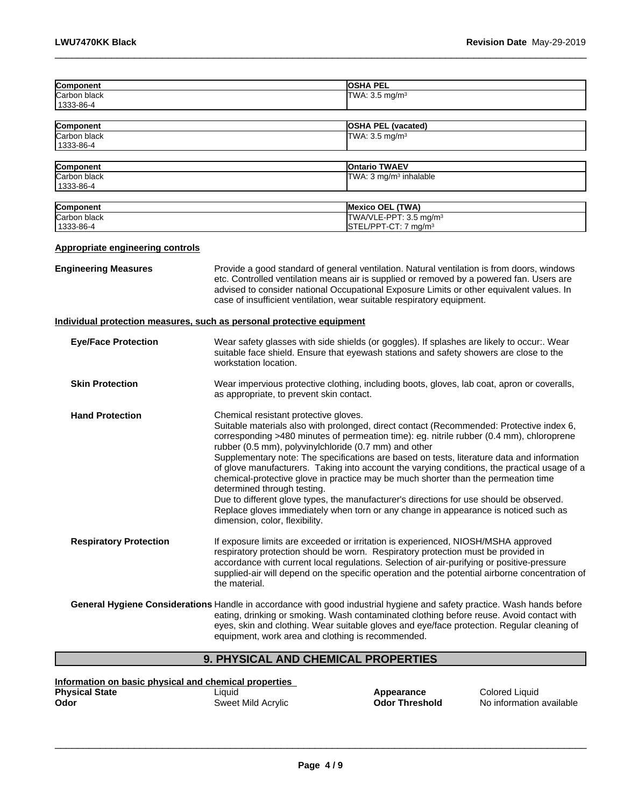| Component                               |                                                                                                                                                                                                               | <b>OSHA PEL</b>                                                                                                                                                                                                                                                                                                                                                                                                                                                                                                                                                                                                                                            |  |
|-----------------------------------------|---------------------------------------------------------------------------------------------------------------------------------------------------------------------------------------------------------------|------------------------------------------------------------------------------------------------------------------------------------------------------------------------------------------------------------------------------------------------------------------------------------------------------------------------------------------------------------------------------------------------------------------------------------------------------------------------------------------------------------------------------------------------------------------------------------------------------------------------------------------------------------|--|
| Carbon black<br>1333-86-4               |                                                                                                                                                                                                               | TWA: 3.5 mg/m <sup>3</sup>                                                                                                                                                                                                                                                                                                                                                                                                                                                                                                                                                                                                                                 |  |
| <b>Component</b>                        |                                                                                                                                                                                                               | <b>OSHA PEL (vacated)</b>                                                                                                                                                                                                                                                                                                                                                                                                                                                                                                                                                                                                                                  |  |
| Carbon black<br>1333-86-4               |                                                                                                                                                                                                               | TWA: 3.5 mg/m <sup>3</sup>                                                                                                                                                                                                                                                                                                                                                                                                                                                                                                                                                                                                                                 |  |
| Component                               |                                                                                                                                                                                                               | <b>Ontario TWAEV</b>                                                                                                                                                                                                                                                                                                                                                                                                                                                                                                                                                                                                                                       |  |
| Carbon black<br>1333-86-4               |                                                                                                                                                                                                               | TWA: 3 mg/m <sup>3</sup> inhalable                                                                                                                                                                                                                                                                                                                                                                                                                                                                                                                                                                                                                         |  |
| Component                               |                                                                                                                                                                                                               | Mexico OEL (TWA)                                                                                                                                                                                                                                                                                                                                                                                                                                                                                                                                                                                                                                           |  |
| Carbon black<br>1333-86-4               |                                                                                                                                                                                                               | TWA/VLE-PPT: 3.5 mg/m <sup>3</sup><br>STEL/PPT-CT: 7 mg/m <sup>3</sup>                                                                                                                                                                                                                                                                                                                                                                                                                                                                                                                                                                                     |  |
| <b>Appropriate engineering controls</b> |                                                                                                                                                                                                               |                                                                                                                                                                                                                                                                                                                                                                                                                                                                                                                                                                                                                                                            |  |
| <b>Engineering Measures</b>             |                                                                                                                                                                                                               | Provide a good standard of general ventilation. Natural ventilation is from doors, windows<br>etc. Controlled ventilation means air is supplied or removed by a powered fan. Users are<br>advised to consider national Occupational Exposure Limits or other equivalent values. In<br>case of insufficient ventilation, wear suitable respiratory equipment.                                                                                                                                                                                                                                                                                               |  |
|                                         | Individual protection measures, such as personal protective equipment                                                                                                                                         |                                                                                                                                                                                                                                                                                                                                                                                                                                                                                                                                                                                                                                                            |  |
| <b>Eye/Face Protection</b>              | Wear safety glasses with side shields (or goggles). If splashes are likely to occur:. Wear<br>suitable face shield. Ensure that eyewash stations and safety showers are close to the<br>workstation location. |                                                                                                                                                                                                                                                                                                                                                                                                                                                                                                                                                                                                                                                            |  |
| <b>Skin Protection</b>                  | Wear impervious protective clothing, including boots, gloves, lab coat, apron or coveralls,<br>as appropriate, to prevent skin contact.                                                                       |                                                                                                                                                                                                                                                                                                                                                                                                                                                                                                                                                                                                                                                            |  |
| <b>Hand Protection</b>                  | Chemical resistant protective gloves.<br>rubber (0.5 mm), polyvinylchloride (0.7 mm) and other<br>determined through testing.<br>dimension, color, flexibility.                                               | Suitable materials also with prolonged, direct contact (Recommended: Protective index 6,<br>corresponding >480 minutes of permeation time): eg. nitrile rubber (0.4 mm), chloroprene<br>Supplementary note: The specifications are based on tests, literature data and information<br>of glove manufacturers. Taking into account the varying conditions, the practical usage of a<br>chemical-protective glove in practice may be much shorter than the permeation time<br>Due to different glove types, the manufacturer's directions for use should be observed.<br>Replace gloves immediately when torn or any change in appearance is noticed such as |  |
| <b>Respiratory Protection</b>           | the material.                                                                                                                                                                                                 | If exposure limits are exceeded or irritation is experienced, NIOSH/MSHA approved<br>respiratory protection should be worn. Respiratory protection must be provided in<br>accordance with current local regulations. Selection of air-purifying or positive-pressure<br>supplied-air will depend on the specific operation and the potential airborne concentration of                                                                                                                                                                                                                                                                                     |  |
|                                         | equipment, work area and clothing is recommended.                                                                                                                                                             | General Hygiene Considerations Handle in accordance with good industrial hygiene and safety practice. Wash hands before<br>eating, drinking or smoking. Wash contaminated clothing before reuse. Avoid contact with<br>eyes, skin and clothing. Wear suitable gloves and eye/face protection. Regular cleaning of                                                                                                                                                                                                                                                                                                                                          |  |
|                                         | 9. PHYSICAL AND CHEMICAL PROPERTIES                                                                                                                                                                           |                                                                                                                                                                                                                                                                                                                                                                                                                                                                                                                                                                                                                                                            |  |

 $\_$  ,  $\_$  ,  $\_$  ,  $\_$  ,  $\_$  ,  $\_$  ,  $\_$  ,  $\_$  ,  $\_$  ,  $\_$  ,  $\_$  ,  $\_$  ,  $\_$  ,  $\_$  ,  $\_$  ,  $\_$  ,  $\_$  ,  $\_$  ,  $\_$  ,  $\_$  ,  $\_$  ,  $\_$  ,  $\_$  ,  $\_$  ,  $\_$  ,  $\_$  ,  $\_$  ,  $\_$  ,  $\_$  ,  $\_$  ,  $\_$  ,  $\_$  ,  $\_$  ,  $\_$  ,  $\_$  ,  $\_$  ,  $\_$  ,

# **9. PHYSICAL AND CHEMICAL PROPERTIES**

**Information on basic physical and chemical properties Physical State** Liquid **Appearance** Colored Liquid **Odor Conserved Accrylic Codor Threshold** No information available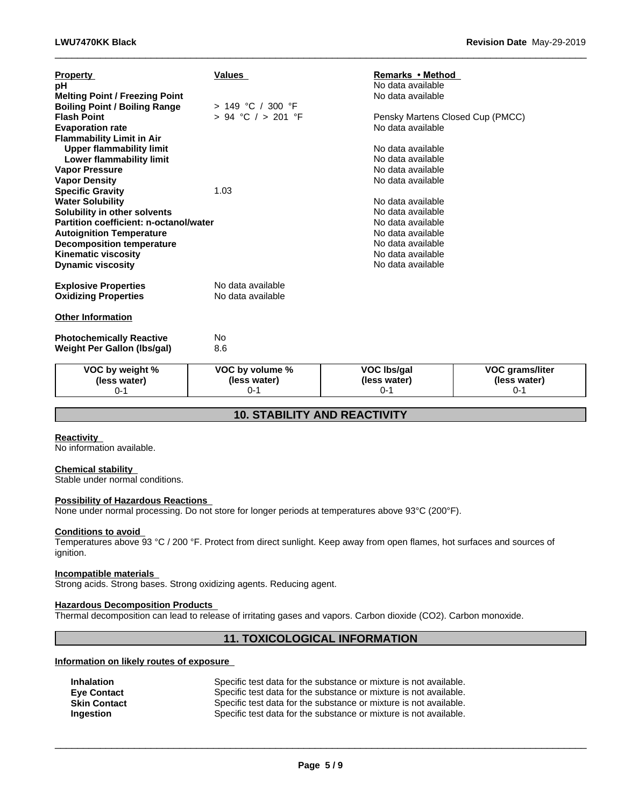| <b>Property</b><br>pН<br><b>Melting Point / Freezing Point</b><br><b>Boiling Point / Boiling Range</b> | <b>Values</b><br>> 149 °C / 300 °F     | Remarks • Method<br>No data available<br>No data available |                         |
|--------------------------------------------------------------------------------------------------------|----------------------------------------|------------------------------------------------------------|-------------------------|
| <b>Flash Point</b>                                                                                     | $> 94$ °C $/ > 201$ °F                 | Pensky Martens Closed Cup (PMCC)                           |                         |
| <b>Evaporation rate</b>                                                                                |                                        | No data available                                          |                         |
| <b>Flammability Limit in Air</b>                                                                       |                                        |                                                            |                         |
| <b>Upper flammability limit</b>                                                                        |                                        | No data available                                          |                         |
| Lower flammability limit                                                                               |                                        | No data available                                          |                         |
| <b>Vapor Pressure</b>                                                                                  |                                        | No data available                                          |                         |
| <b>Vapor Density</b>                                                                                   |                                        | No data available                                          |                         |
| <b>Specific Gravity</b>                                                                                | 1.03                                   |                                                            |                         |
| <b>Water Solubility</b>                                                                                |                                        | No data available                                          |                         |
| Solubility in other solvents<br>Partition coefficient: n-octanol/water                                 |                                        | No data available<br>No data available                     |                         |
| <b>Autoignition Temperature</b>                                                                        |                                        | No data available                                          |                         |
| <b>Decomposition temperature</b>                                                                       |                                        | No data available                                          |                         |
| <b>Kinematic viscosity</b>                                                                             |                                        | No data available                                          |                         |
| <b>Dynamic viscosity</b>                                                                               |                                        | No data available                                          |                         |
| <b>Explosive Properties</b><br><b>Oxidizing Properties</b>                                             | No data available<br>No data available |                                                            |                         |
| <b>Other Information</b>                                                                               |                                        |                                                            |                         |
| <b>Photochemically Reactive</b>                                                                        | No                                     |                                                            |                         |
| <b>Weight Per Gallon (Ibs/gal)</b>                                                                     | 8.6                                    |                                                            |                         |
| VOC by weight %                                                                                        | VOC by volume %                        | <b>VOC Ibs/gal</b>                                         | VOC grams/liter         |
| (less water)<br>$0 - 1$                                                                                | (less water)<br>$0 - 1$                | (less water)<br>$0 - 1$                                    | (less water)<br>$0 - 1$ |

 $\_$  ,  $\_$  ,  $\_$  ,  $\_$  ,  $\_$  ,  $\_$  ,  $\_$  ,  $\_$  ,  $\_$  ,  $\_$  ,  $\_$  ,  $\_$  ,  $\_$  ,  $\_$  ,  $\_$  ,  $\_$  ,  $\_$  ,  $\_$  ,  $\_$  ,  $\_$  ,  $\_$  ,  $\_$  ,  $\_$  ,  $\_$  ,  $\_$  ,  $\_$  ,  $\_$  ,  $\_$  ,  $\_$  ,  $\_$  ,  $\_$  ,  $\_$  ,  $\_$  ,  $\_$  ,  $\_$  ,  $\_$  ,  $\_$  ,

# **10. STABILITY AND REACTIVITY**

### **Reactivity**

No information available.

#### **Chemical stability**

Stable under normal conditions.

#### **Possibility of Hazardous Reactions**

None under normal processing. Do not store for longer periods at temperatures above 93°C (200°F).

#### **Conditions to avoid**

Temperatures above 93 °C / 200 °F. Protect from direct sunlight. Keep away from open flames, hot surfaces and sources of ignition.

#### **Incompatible materials**

Strong acids. Strong bases. Strong oxidizing agents. Reducing agent.

# **Hazardous Decomposition Products**

Thermal decomposition can lead to release of irritating gases and vapors. Carbon dioxide (CO2). Carbon monoxide.

# **11. TOXICOLOGICAL INFORMATION**

# **Information on likely routes of exposure**

| <b>Inhalation</b>   | Specific test data for the substance or mixture is not available. |
|---------------------|-------------------------------------------------------------------|
| <b>Eve Contact</b>  | Specific test data for the substance or mixture is not available. |
| <b>Skin Contact</b> | Specific test data for the substance or mixture is not available. |
| Ingestion           | Specific test data for the substance or mixture is not available. |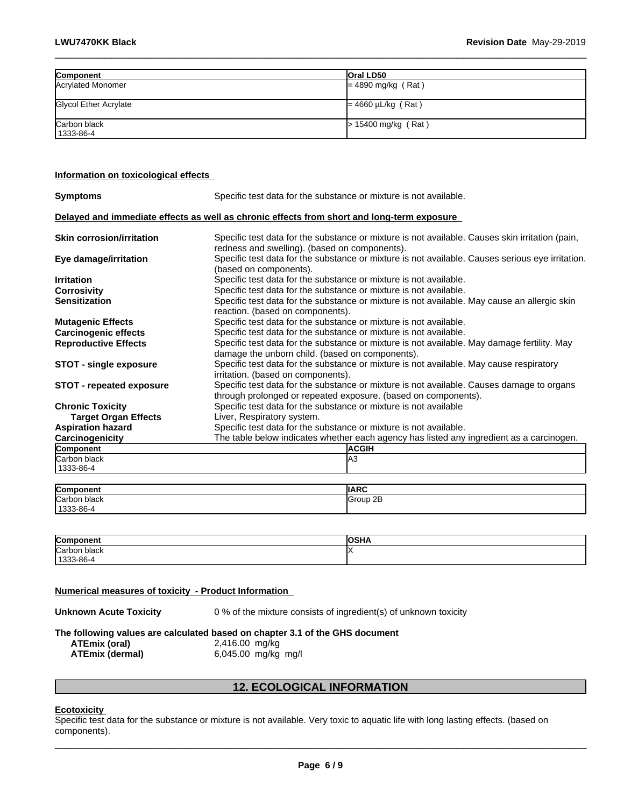| Component                    | <b>Oral LD50</b>        |
|------------------------------|-------------------------|
| Acrylated Monomer            | $= 4890$ mg/kg (Rat)    |
| <b>Glycol Ether Acrylate</b> | $= 4660 \mu L/kg$ (Rat) |
| Carbon black<br>1333-86-4    | $> 15400$ mg/kg (Rat)   |

 $\_$  ,  $\_$  ,  $\_$  ,  $\_$  ,  $\_$  ,  $\_$  ,  $\_$  ,  $\_$  ,  $\_$  ,  $\_$  ,  $\_$  ,  $\_$  ,  $\_$  ,  $\_$  ,  $\_$  ,  $\_$  ,  $\_$  ,  $\_$  ,  $\_$  ,  $\_$  ,  $\_$  ,  $\_$  ,  $\_$  ,  $\_$  ,  $\_$  ,  $\_$  ,  $\_$  ,  $\_$  ,  $\_$  ,  $\_$  ,  $\_$  ,  $\_$  ,  $\_$  ,  $\_$  ,  $\_$  ,  $\_$  ,  $\_$  ,

### **Information on toxicological effects**

| <b>Symptoms</b>                  | Specific test data for the substance or mixture is not available.                                                                                           |  |  |  |
|----------------------------------|-------------------------------------------------------------------------------------------------------------------------------------------------------------|--|--|--|
|                                  | Delayed and immediate effects as well as chronic effects from short and long-term exposure                                                                  |  |  |  |
| <b>Skin corrosion/irritation</b> | Specific test data for the substance or mixture is not available. Causes skin irritation (pain,<br>redness and swelling). (based on components).            |  |  |  |
| Eye damage/irritation            | Specific test data for the substance or mixture is not available. Causes serious eye irritation.<br>(based on components).                                  |  |  |  |
| <b>Irritation</b>                | Specific test data for the substance or mixture is not available.                                                                                           |  |  |  |
| <b>Corrosivity</b>               | Specific test data for the substance or mixture is not available.                                                                                           |  |  |  |
| <b>Sensitization</b>             | Specific test data for the substance or mixture is not available. May cause an allergic skin<br>reaction. (based on components).                            |  |  |  |
| <b>Mutagenic Effects</b>         | Specific test data for the substance or mixture is not available.                                                                                           |  |  |  |
| <b>Carcinogenic effects</b>      | Specific test data for the substance or mixture is not available.                                                                                           |  |  |  |
| <b>Reproductive Effects</b>      | Specific test data for the substance or mixture is not available. May damage fertility. May<br>damage the unborn child. (based on components).              |  |  |  |
| <b>STOT - single exposure</b>    | Specific test data for the substance or mixture is not available. May cause respiratory<br>irritation. (based on components).                               |  |  |  |
| <b>STOT - repeated exposure</b>  | Specific test data for the substance or mixture is not available. Causes damage to organs<br>through prolonged or repeated exposure. (based on components). |  |  |  |
| <b>Chronic Toxicity</b>          | Specific test data for the substance or mixture is not available                                                                                            |  |  |  |
| <b>Target Organ Effects</b>      | Liver, Respiratory system.                                                                                                                                  |  |  |  |
| <b>Aspiration hazard</b>         | Specific test data for the substance or mixture is not available.                                                                                           |  |  |  |
| Carcinogenicity                  | The table below indicates whether each agency has listed any ingredient as a carcinogen.                                                                    |  |  |  |
| Component                        | <b>ACGIH</b>                                                                                                                                                |  |  |  |
| Carbon black<br>1333-86-4        | lА3                                                                                                                                                         |  |  |  |
|                                  |                                                                                                                                                             |  |  |  |
| Component                        | <b>IIARC</b>                                                                                                                                                |  |  |  |
| lCarbon black<br>1333-86-4       | Group 2B                                                                                                                                                    |  |  |  |

| Compon                  | .<br>אחס |
|-------------------------|----------|
| Carbon<br>black         |          |
| $1333 - 86 - 4$<br>. UU |          |

#### **Numerical measures of toxicity - Product Information**

**Unknown Acute Toxicity** 0 % of the mixture consists of ingredient(s) of unknown toxicity

|                        | The following values are calculated based on chapter 3.1 of the GHS document |  |
|------------------------|------------------------------------------------------------------------------|--|
| ATEmix (oral)          | 2,416.00 mg/kg                                                               |  |
| <b>ATEmix (dermal)</b> | 6,045.00 mg/kg mg/l                                                          |  |

# **12. ECOLOGICAL INFORMATION**

#### **Ecotoxicity**

Specific test data for the substance or mixture is not available. Very toxic to aquatic life with long lasting effects. (based on components).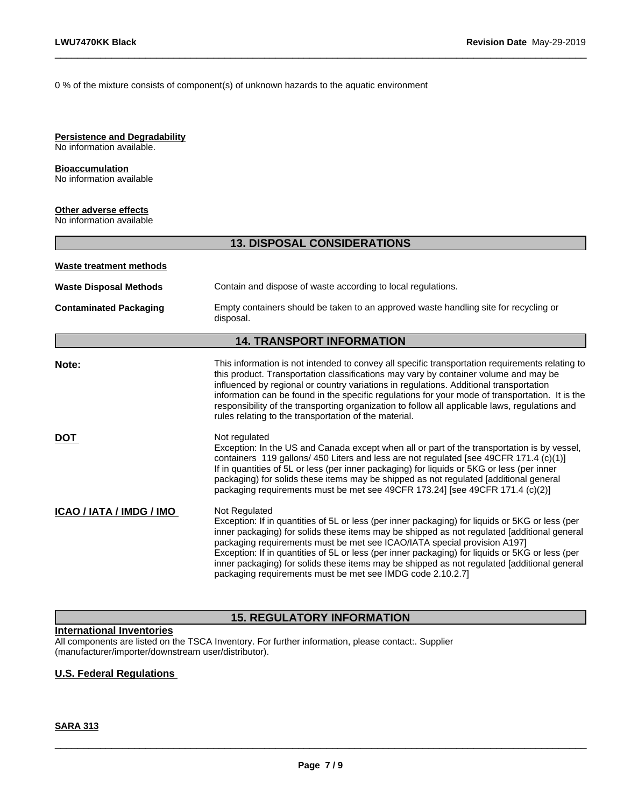0 % of the mixture consists of component(s) of unknown hazards to the aquatic environment

### **Persistence and Degradability**

No information available.

# **Bioaccumulation**

No information available

# **Other adverse effects**

No information available

# **13. DISPOSAL CONSIDERATIONS**

 $\_$  ,  $\_$  ,  $\_$  ,  $\_$  ,  $\_$  ,  $\_$  ,  $\_$  ,  $\_$  ,  $\_$  ,  $\_$  ,  $\_$  ,  $\_$  ,  $\_$  ,  $\_$  ,  $\_$  ,  $\_$  ,  $\_$  ,  $\_$  ,  $\_$  ,  $\_$  ,  $\_$  ,  $\_$  ,  $\_$  ,  $\_$  ,  $\_$  ,  $\_$  ,  $\_$  ,  $\_$  ,  $\_$  ,  $\_$  ,  $\_$  ,  $\_$  ,  $\_$  ,  $\_$  ,  $\_$  ,  $\_$  ,  $\_$  ,

| <b>Waste treatment methods</b> |                                                                                                                                                                                                                                                                                                                                                                                                                                                                                                                                                             |  |  |
|--------------------------------|-------------------------------------------------------------------------------------------------------------------------------------------------------------------------------------------------------------------------------------------------------------------------------------------------------------------------------------------------------------------------------------------------------------------------------------------------------------------------------------------------------------------------------------------------------------|--|--|
| <b>Waste Disposal Methods</b>  | Contain and dispose of waste according to local regulations.                                                                                                                                                                                                                                                                                                                                                                                                                                                                                                |  |  |
| <b>Contaminated Packaging</b>  | Empty containers should be taken to an approved waste handling site for recycling or<br>disposal.                                                                                                                                                                                                                                                                                                                                                                                                                                                           |  |  |
|                                | <b>14. TRANSPORT INFORMATION</b>                                                                                                                                                                                                                                                                                                                                                                                                                                                                                                                            |  |  |
| Note:                          | This information is not intended to convey all specific transportation requirements relating to<br>this product. Transportation classifications may vary by container volume and may be<br>influenced by regional or country variations in regulations. Additional transportation<br>information can be found in the specific regulations for your mode of transportation. It is the<br>responsibility of the transporting organization to follow all applicable laws, regulations and<br>rules relating to the transportation of the material.             |  |  |
| <b>DOT</b>                     | Not regulated<br>Exception: In the US and Canada except when all or part of the transportation is by vessel,<br>containers 119 gallons/ 450 Liters and less are not regulated [see 49CFR 171.4 (c)(1)]<br>If in quantities of 5L or less (per inner packaging) for liquids or 5KG or less (per inner<br>packaging) for solids these items may be shipped as not regulated [additional general<br>packaging requirements must be met see 49CFR 173.24] [see 49CFR 171.4 (c)(2)]                                                                              |  |  |
| ICAO / IATA / IMDG / IMO       | Not Regulated<br>Exception: If in quantities of 5L or less (per inner packaging) for liquids or 5KG or less (per<br>inner packaging) for solids these items may be shipped as not regulated [additional general<br>packaging requirements must be met see ICAO/IATA special provision A197]<br>Exception: If in quantities of 5L or less (per inner packaging) for liquids or 5KG or less (per<br>inner packaging) for solids these items may be shipped as not regulated [additional general<br>packaging requirements must be met see IMDG code 2.10.2.7] |  |  |

# **15. REGULATORY INFORMATION**

#### **International Inventories**

All components are listed on the TSCA Inventory. For further information, please contact:. Supplier (manufacturer/importer/downstream user/distributor).

# **U.S. Federal Regulations**

# **SARA 313**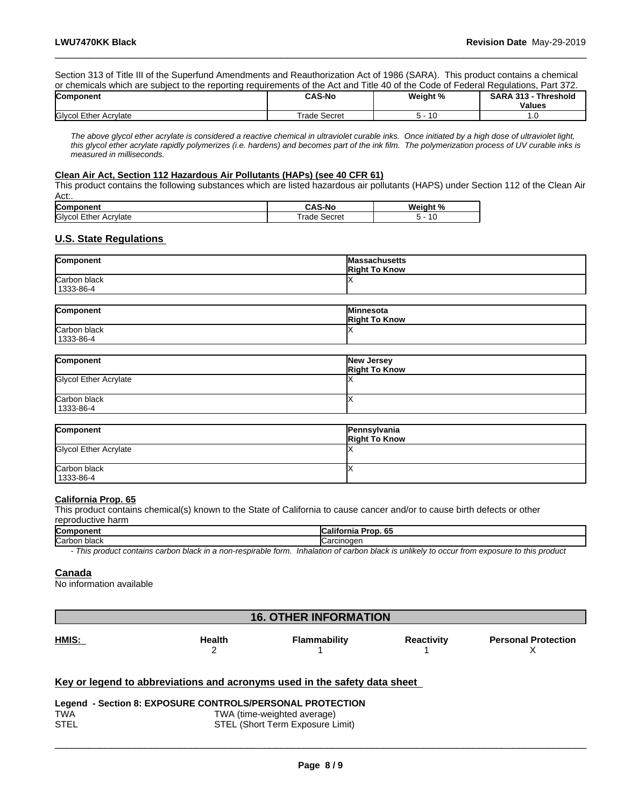Section 313 of Title III of the Superfund Amendments and Reauthorization Act of 1986 (SARA). This product contains a chemical or chemicals which are subject to the reporting requirements of the Act and Title 40 of the Code of Federal Regulations, Part 372.

 $\_$  ,  $\_$  ,  $\_$  ,  $\_$  ,  $\_$  ,  $\_$  ,  $\_$  ,  $\_$  ,  $\_$  ,  $\_$  ,  $\_$  ,  $\_$  ,  $\_$  ,  $\_$  ,  $\_$  ,  $\_$  ,  $\_$  ,  $\_$  ,  $\_$  ,  $\_$  ,  $\_$  ,  $\_$  ,  $\_$  ,  $\_$  ,  $\_$  ,  $\_$  ,  $\_$  ,  $\_$  ,  $\_$  ,  $\_$  ,  $\_$  ,  $\_$  ,  $\_$  ,  $\_$  ,  $\_$  ,  $\_$  ,  $\_$  ,

| <b>Component</b>      | <b>CAS-No</b>   | Weight % | - Threshold<br><b>SARA 313</b><br><b>Values</b> |
|-----------------------|-----------------|----------|-------------------------------------------------|
| Glycol Ether Acrylate | Trade<br>Secret | ∽<br>. . | .                                               |

*The above glycol ether acrylate is considered a reactive chemical in ultraviolet curable inks. Once initiated by a high dose of ultraviolet light, this glycol ether acrylate rapidly polymerizes (i.e. hardens) and becomes part of the ink film. The polymerization process of UV curable inks is measured in milliseconds.*

#### **Clean Air Act,Section 112 Hazardous Air Pollutants (HAPs) (see 40 CFR 61)**

This product contains the following substances which are listed hazardous air pollutants (HAPS) under Section 112 of the Clean Air Act:.

| Componen                   | 5-NC                    | Weight<br>$\sqrt{2}$     |
|----------------------------|-------------------------|--------------------------|
| Glyco<br>Acrylate<br>:tner | secro.<br>rade<br>ecret | $\overline{\phantom{a}}$ |

### **U.S. State Regulations**

| Component                 | <b>Massachusetts</b><br><b>Right To Know</b> |
|---------------------------|----------------------------------------------|
| Carbon black<br>1333-86-4 |                                              |

| Component    | <b>Minnesota</b><br><b>Right To Know</b> |
|--------------|------------------------------------------|
| Carbon black |                                          |
| 1333-86-4    |                                          |

| Component                    | New Jersey<br><b>Right To Know</b> |
|------------------------------|------------------------------------|
| <b>Glycol Ether Acrylate</b> |                                    |
| Carbon black<br>1333-86-4    |                                    |

| Component                    | Pennsylvania<br><b>Right To Know</b> |
|------------------------------|--------------------------------------|
| <b>Glycol Ether Acrylate</b> |                                      |
| Carbon black<br>1333-86-4    |                                      |

#### **California Prop. 65**

This product contains chemical(s) known to the State of California to cause cancer and/or to cause birth defects or other reproductive harm

| Component    | <br>^^<br>California<br>Prop. 65                                                                                                     |
|--------------|--------------------------------------------------------------------------------------------------------------------------------------|
| Carbon black | Carcinoder                                                                                                                           |
|              | This was deed souds to sombon blood in a non-monimable form. Inhabition of sombon blood is enabled to some components that was dead. |

*- This product contains carbon black in a non-respirable form. Inhalation of carbon black is unlikely to occur from exposure to this product*

#### **Canada**

No information available

| <b>16. OTHER INFORMATION</b> |               |                                                                           |                   |                            |
|------------------------------|---------------|---------------------------------------------------------------------------|-------------------|----------------------------|
| HMIS:                        | <b>Health</b> | <b>Flammability</b>                                                       | <b>Reactivity</b> | <b>Personal Protection</b> |
|                              |               | Key or legend to abbreviations and acronyms used in the safety data sheet |                   |                            |

| Legend - Section 8: EXPOSURE CONTROLS/PERSONAL PROTECTION |                                  |  |  |
|-----------------------------------------------------------|----------------------------------|--|--|
| TWA                                                       | TWA (time-weighted average)      |  |  |
| STEL                                                      | STEL (Short Term Exposure Limit) |  |  |